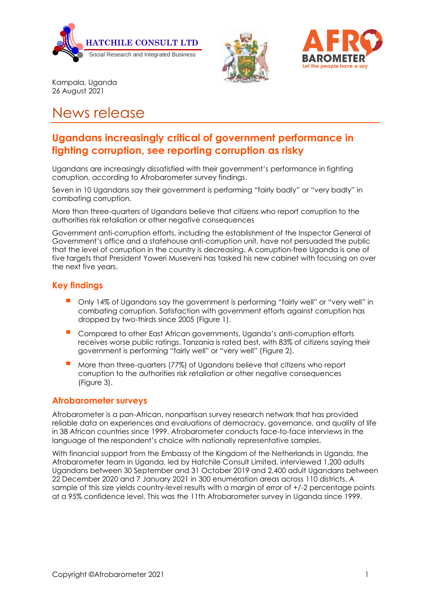





Kampala, Uganda 26 August 2021

# News release

## **Ugandans increasingly critical of government performance in fighting corruption, see reporting corruption as risky**

Ugandans are increasingly dissatisfied with their government's performance in fighting corruption, according to Afrobarometer survey findings.

Seven in 10 Ugandans say their government is performing "fairly badly" or "very badly" in combating corruption.

More than three-quarters of Ugandans believe that citizens who report corruption to the authorities risk retaliation or other negative consequences

Government anti-corruption efforts, including the establishment of the Inspector General of Government's office and a statehouse anti-corruption unit, have not persuaded the public that the level of corruption in the country is decreasing. A corruption-free Uganda is one of five targets that President Yoweri Museveni has tasked his new cabinet with focusing on over the next five years.

#### **Key findings**

- Only 14% of Ugandans say the government is performing "fairly well" or "very well" in combating corruption. Satisfaction with government efforts against corruption has dropped by two-thirds since 2005 (Figure 1).
- Compared to other East African governments, Uganda's anti-corruption efforts receives worse public ratings. Tanzania is rated best, with 83% of citizens saying their government is performing "fairly well" or "very well" (Figure 2).
- More than three-quarters (77%) of Ugandans believe that citizens who report corruption to the authorities risk retaliation or other negative consequences (Figure 3).

#### **Afrobarometer surveys**

Afrobarometer is a pan-African, nonpartisan survey research network that has provided reliable data on experiences and evaluations of democracy, governance, and quality of life in 38 African countries since 1999. Afrobarometer conducts face-to-face interviews in the language of the respondent's choice with nationally representative samples.

With financial support from the Embassy of the Kingdom of the Netherlands in Uganda, the Afrobarometer team in Uganda, led by Hatchile Consult Limited, interviewed 1,200 adults Ugandans between 30 September and 31 October 2019 and 2,400 adult Ugandans between 22 December 2020 and 7 January 2021 in 300 enumeration areas across 110 districts. A sample of this size yields country-level results with a margin of error of +/-2 percentage points at a 95% confidence level. This was the 11th Afrobarometer survey in Uganda since 1999.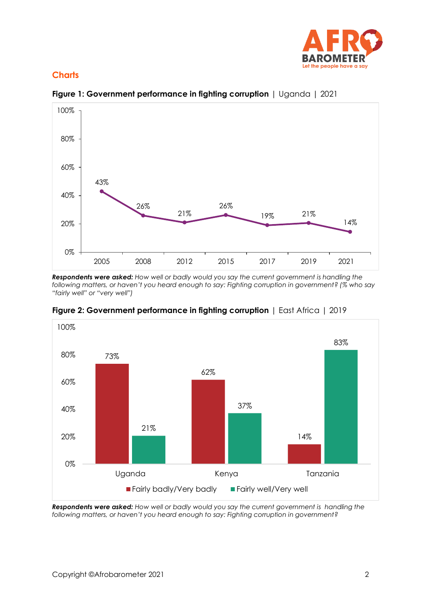

### **Charts**



**Figure 1: Government performance in fighting corruption** | Uganda | 2021

*Respondents were asked: How well or badly would you say the current government is handling the following matters, or haven't you heard enough to say: Fighting corruption in government? (% who say "fairly well" or "very well")*



**Figure 2: Government performance in fighting corruption** | East Africa | 2019

*Respondents were asked: How well or badly would you say the current government is handling the following matters, or haven't you heard enough to say: Fighting corruption in government?*